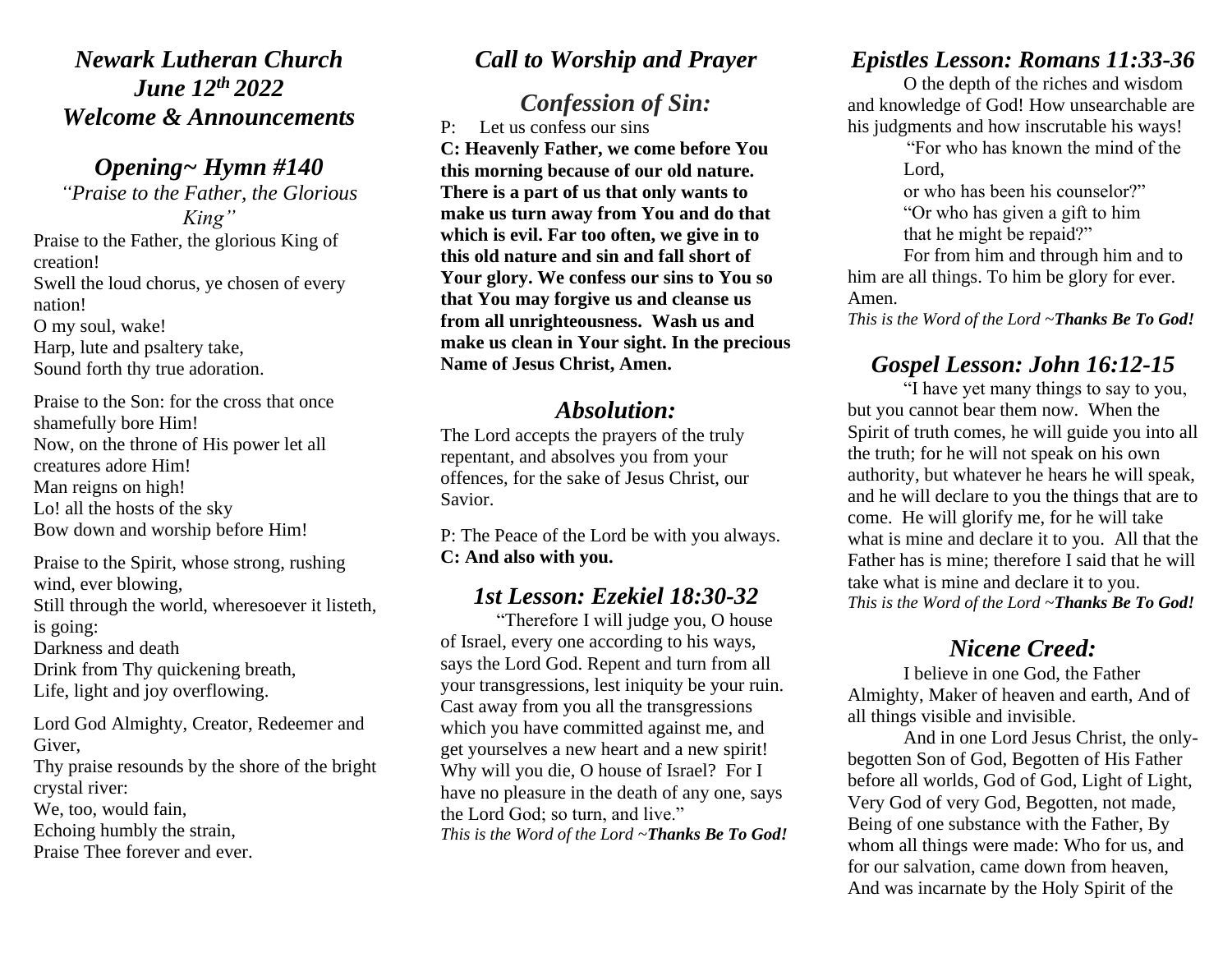*Newark Lutheran Church June 12th 2022 Welcome & Announcements*

*Opening~ Hymn #140 "Praise to the Father, the Glorious King"* Praise to the Father, the glorious King of creation! Swell the loud chorus, ye chosen of every nation!

O my soul, wake! Harp, lute and psaltery take, Sound forth thy true adoration.

Praise to the Son: for the cross that once shamefully bore Him! Now, on the throne of His power let all creatures adore Him! Man reigns on high! Lo! all the hosts of the sky Bow down and worship before Him!

Praise to the Spirit, whose strong, rushing wind, ever blowing, Still through the world, wheresoever it listeth, is going: Darkness and death Drink from Thy quickening breath, Life, light and joy overflowing. Lord God Almighty, Creator, Redeemer and Giver, Thy praise resounds by the shore of the bright crystal river:

We, too, would fain,

Echoing humbly the strain,

Praise Thee forever and ever.

### *Call to Worship and Prayer*

# *Confession of Sin:*

P: Let us confess our sins **C: Heavenly Father, we come before You this morning because of our old nature. There is a part of us that only wants to make us turn away from You and do that which is evil. Far too often, we give in to this old nature and sin and fall short of Your glory. We confess our sins to You so that You may forgive us and cleanse us from all unrighteousness. Wash us and make us clean in Your sight. In the precious Name of Jesus Christ, Amen.** 

#### *Absolution:*

The Lord accepts the prayers of the truly repentant, and absolves you from your offences, for the sake of Jesus Christ, our Savior.

P: The Peace of the Lord be with you always. **C: And also with you.**

### *1st Lesson: Ezekiel 18:30-32*

"Therefore I will judge you, O house of Israel, every one according to his ways, says the Lord God. Repent and turn from all your transgressions, lest iniquity be your ruin. Cast away from you all the transgressions which you have committed against me, and get yourselves a new heart and a new spirit! Why will you die, O house of Israel? For I have no pleasure in the death of any one, says the Lord God; so turn, and live.["](https://www.biblegateway.com/passage/?search=Job+19&version=RSV) *This is the Word of the Lord ~Thanks Be To God!*

### *Epistles Lesson: Romans 11:33-36*

O the depth of the riches and wisdom and knowledge of God! How unsearchable are his judgments and how inscrutable his ways!

> "For who has known the mind of the Lord,

or who has been his counselor?" "Or who has given a gift to him

that he might be repaid?"

For from him and through him and to him are all things. To him be glory for ever. Amen.

*This is the Word of the Lord ~Thanks Be To God!*

# *Gospel Lesson: John 16:12-15*

"I have yet many things to say to you, but you cannot bear them now. When the Spirit of truth comes, he will guide you into all the truth; for he will not speak on his own authority, but whatever he hears he will speak, and he will declare to you the things that are to come. He will glorify me, for he will take what is mine and declare it to you. All that the Father has is mine; therefore I said that he will take what is mine and declare it to you. *This is the Word of the Lord ~Thanks Be To God!*

# *Nicene Creed:*

I believe in one God, the Father Almighty, Maker of heaven and earth, And of all things visible and invisible.

And in one Lord Jesus Christ, the onlybegotten Son of God, Begotten of His Father before all worlds, God of God, Light of Light, Very God of very God, Begotten, not made, Being of one substance with the Father, By whom all things were made: Who for us, and for our salvation, came down from heaven, And was incarnate by the Holy Spirit of the